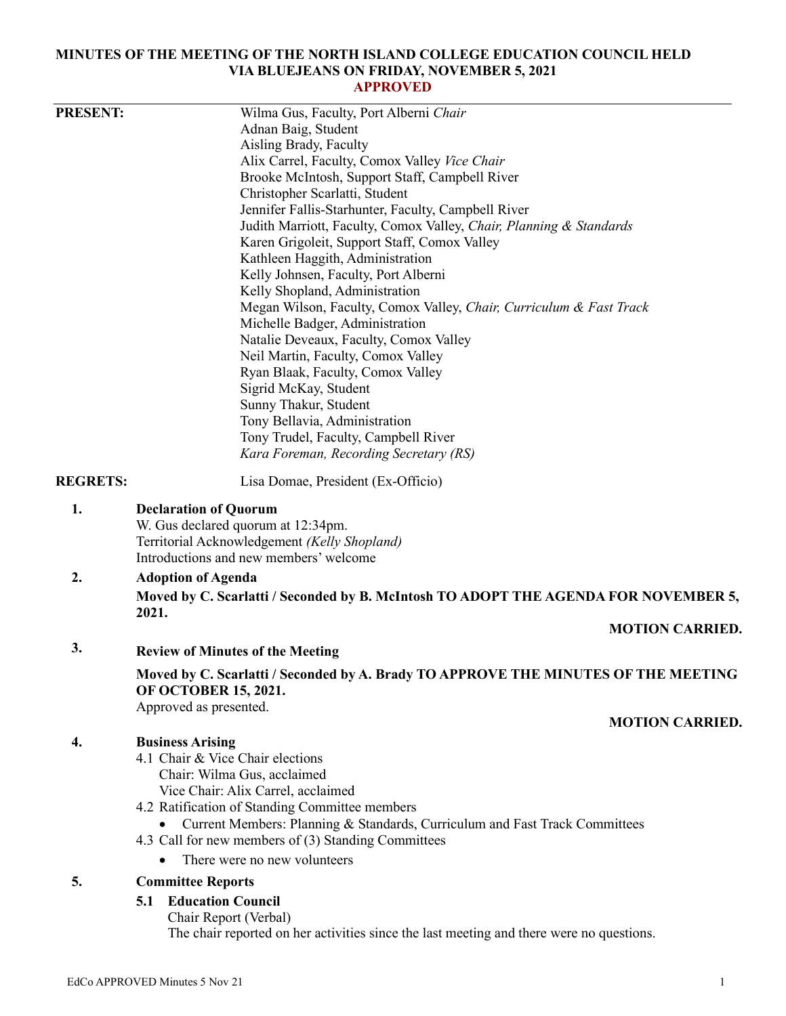### **MINUTES OF THE MEETING OF THE NORTH ISLAND COLLEGE EDUCATION COUNCIL HELD VIA BLUEJEANS ON FRIDAY, NOVEMBER 5, 2021 APPROVED**

| <b>PRESENT:</b> | Wilma Gus, Faculty, Port Alberni Chair                                                                 |
|-----------------|--------------------------------------------------------------------------------------------------------|
|                 | Adnan Baig, Student                                                                                    |
|                 | Aisling Brady, Faculty                                                                                 |
|                 | Alix Carrel, Faculty, Comox Valley Vice Chair                                                          |
|                 | Brooke McIntosh, Support Staff, Campbell River                                                         |
|                 | Christopher Scarlatti, Student                                                                         |
|                 | Jennifer Fallis-Starhunter, Faculty, Campbell River                                                    |
|                 | Judith Marriott, Faculty, Comox Valley, Chair, Planning & Standards                                    |
|                 | Karen Grigoleit, Support Staff, Comox Valley                                                           |
|                 | Kathleen Haggith, Administration                                                                       |
|                 | Kelly Johnsen, Faculty, Port Alberni<br>Kelly Shopland, Administration                                 |
|                 |                                                                                                        |
|                 | Megan Wilson, Faculty, Comox Valley, Chair, Curriculum & Fast Track<br>Michelle Badger, Administration |
|                 | Natalie Deveaux, Faculty, Comox Valley                                                                 |
|                 | Neil Martin, Faculty, Comox Valley                                                                     |
|                 | Ryan Blaak, Faculty, Comox Valley                                                                      |
|                 | Sigrid McKay, Student                                                                                  |
|                 | Sunny Thakur, Student                                                                                  |
|                 | Tony Bellavia, Administration                                                                          |
|                 | Tony Trudel, Faculty, Campbell River                                                                   |
|                 | Kara Foreman, Recording Secretary (RS)                                                                 |
|                 |                                                                                                        |
| <b>REGRETS:</b> | Lisa Domae, President (Ex-Officio)                                                                     |
| 1.              | <b>Declaration of Quorum</b>                                                                           |
|                 | W. Gus declared quorum at 12:34pm.                                                                     |
|                 | Territorial Acknowledgement (Kelly Shopland)                                                           |
|                 | Introductions and new members' welcome                                                                 |
| 2.              | <b>Adoption of Agenda</b>                                                                              |
|                 | Moved by C. Scarlatti / Seconded by B. McIntosh TO ADOPT THE AGENDA FOR NOVEMBER 5,                    |
|                 | 2021.                                                                                                  |
|                 | <b>MOTION CARRIED.</b>                                                                                 |
| 3.              | <b>Review of Minutes of the Meeting</b>                                                                |
|                 | Moved by C. Scarlatti / Seconded by A. Brady TO APPROVE THE MINUTES OF THE MEETING                     |
|                 | <b>OF OCTOBER 15, 2021.</b>                                                                            |
|                 | Approved as presented.                                                                                 |
|                 | <b>MOTION CARRIED.</b>                                                                                 |
| 4.              | <b>Business Arising</b>                                                                                |
|                 | 4.1 Chair & Vice Chair elections                                                                       |
|                 | Chair: Wilma Gus, acclaimed                                                                            |
|                 | Vice Chair: Alix Carrel, acclaimed                                                                     |
|                 | 4.2 Ratification of Standing Committee members                                                         |
|                 | Current Members: Planning & Standards, Curriculum and Fast Track Committees                            |
|                 | 4.3 Call for new members of (3) Standing Committees                                                    |
|                 | There were no new volunteers                                                                           |
| 5.              | <b>Committee Reports</b>                                                                               |
|                 | <b>Education Council</b><br>5.1                                                                        |
|                 | Chair Report (Verbal)                                                                                  |
|                 | The chair reported on her activities since the last meeting and there were no questions.               |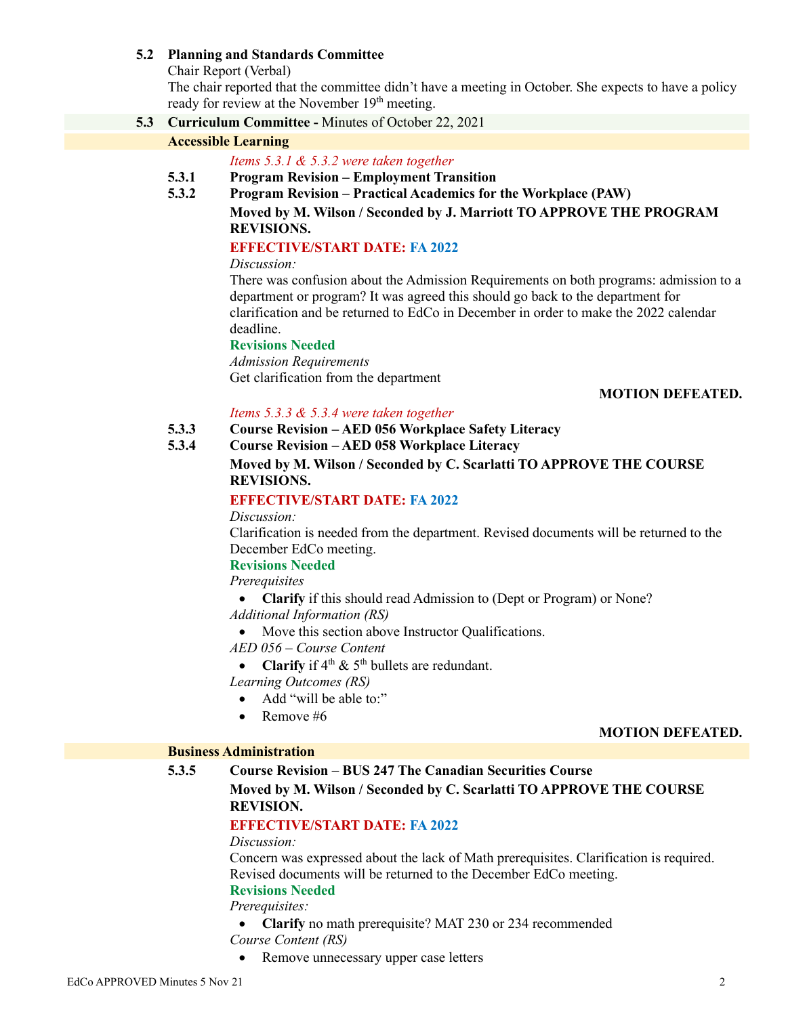## **5.2 Planning and Standards Committee**

Chair Report (Verbal)

The chair reported that the committee didn't have a meeting in October. She expects to have a policy ready for review at the November 19<sup>th</sup> meeting.

**5.3 Curriculum Committee -** Minutes of October 22, 2021

# **Accessible Learning**

*Items 5.3.1 & 5.3.2 were taken together*

- **5.3.1 Program Revision – Employment Transition**
- **5.3.2 Program Revision – Practical Academics for the Workplace (PAW)**
	- **Moved by M. Wilson / Seconded by J. Marriott TO APPROVE THE PROGRAM REVISIONS.**

# **EFFECTIVE/START DATE: FA 2022**

*Discussion:*

There was confusion about the Admission Requirements on both programs: admission to a department or program? It was agreed this should go back to the department for clarification and be returned to EdCo in December in order to make the 2022 calendar deadline.

# **Revisions Needed**

*Admission Requirements* Get clarification from the department

### **MOTION DEFEATED.**

## *Items 5.3.3 & 5.3.4 were taken together*

- **5.3.3 Course Revision – AED 056 Workplace Safety Literacy**
- **5.3.4 Course Revision – AED 058 Workplace Literacy**

# **Moved by M. Wilson / Seconded by C. Scarlatti TO APPROVE THE COURSE REVISIONS.**

# **EFFECTIVE/START DATE: FA 2022**

*Discussion:*

Clarification is needed from the department. Revised documents will be returned to the December EdCo meeting.

#### **Revisions Needed**

*Prerequisites*

• **Clarify** if this should read Admission to (Dept or Program) or None?

*Additional Information (RS)*

• Move this section above Instructor Qualifications.

*AED 056 – Course Content*

• **Clarify** if  $4^{th}$  &  $5^{th}$  bullets are redundant.

*Learning Outcomes (RS)*

- Add "will be able to:"
- Remove #6

#### **MOTION DEFEATED.**

### **Business Administration**

# **5.3.5 Course Revision – BUS 247 The Canadian Securities Course**

**Moved by M. Wilson / Seconded by C. Scarlatti TO APPROVE THE COURSE REVISION.**

# **EFFECTIVE/START DATE: FA 2022**

## *Discussion:*

Concern was expressed about the lack of Math prerequisites. Clarification is required. Revised documents will be returned to the December EdCo meeting.

# **Revisions Needed**

*Prerequisites:*

- **Clarify** no math prerequisite? MAT 230 or 234 recommended *Course Content (RS)*
- Remove unnecessary upper case letters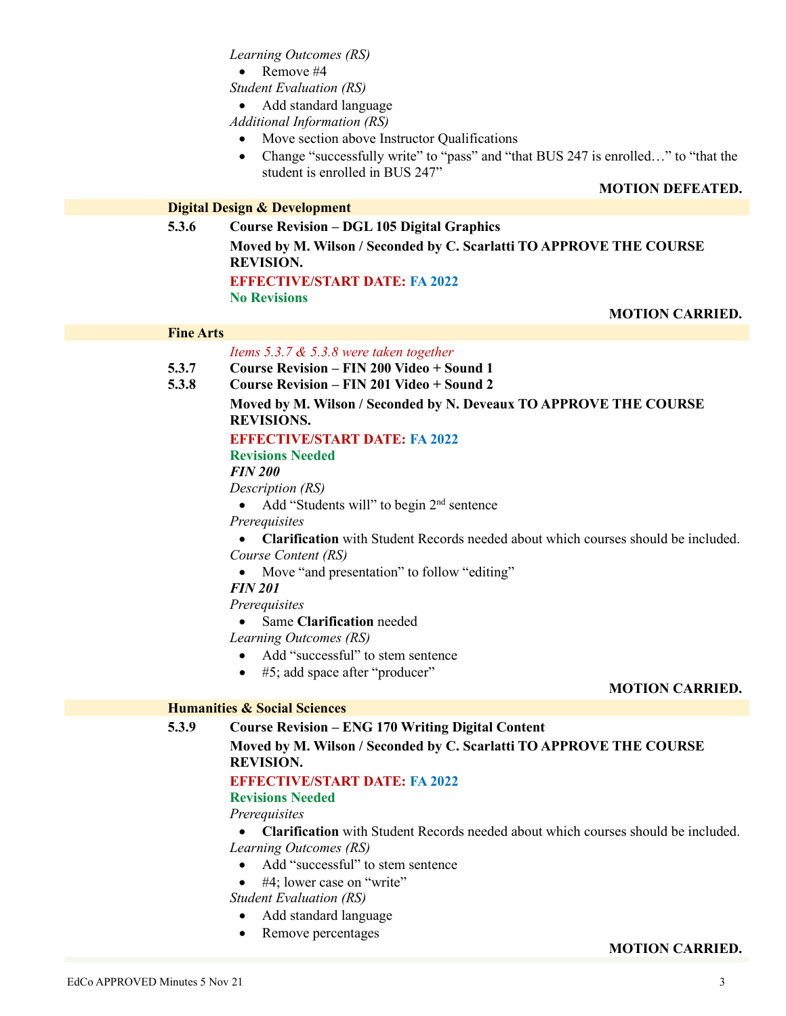*Learning Outcomes (RS)*

• Remove #4

*Student Evaluation (RS)*

• Add standard language

*Additional Information (RS)*

- Move section above Instructor Qualifications
- Change "successfully write" to "pass" and "that BUS 247 is enrolled..." to "that the student is enrolled in BUS 247"

### **MOTION DEFEATED.**

# **Digital Design & Development**

**5.3.6 Course Revision – DGL 105 Digital Graphics Moved by M. Wilson / Seconded by C. Scarlatti TO APPROVE THE COURSE REVISION. EFFECTIVE/START DATE: FA 2022 No Revisions**

**MOTION CARRIED.**

#### **Fine Arts**

#### *Items 5.3.7 & 5.3.8 were taken together*

- **5.3.7 Course Revision – FIN 200 Video + Sound 1**
- **5.3.8 Course Revision – FIN 201 Video + Sound 2**

# **Moved by M. Wilson / Seconded by N. Deveaux TO APPROVE THE COURSE REVISIONS.**

# **EFFECTIVE/START DATE: FA 2022**

**Revisions Needed**

# *FIN 200*

*Description (RS)*

• Add "Students will" to begin  $2<sup>nd</sup>$  sentence

*Prerequisites*

• **Clarification** with Student Records needed about which courses should be included. *Course Content (RS)*

- Move "and presentation" to follow "editing"
- *FIN 201*

*Prerequisites*

• Same **Clarification** needed

*Learning Outcomes (RS)*

- Add "successful" to stem sentence
- #5; add space after "producer"

#### **MOTION CARRIED.**

### **Humanities & Social Sciences**

## **5.3.9 Course Revision – ENG 170 Writing Digital Content**

## **Moved by M. Wilson / Seconded by C. Scarlatti TO APPROVE THE COURSE REVISION.**

## **EFFECTIVE/START DATE: FA 2022**

#### **Revisions Needed**

*Prerequisites*

- **Clarification** with Student Records needed about which courses should be included. *Learning Outcomes (RS)*
	- Add "successful" to stem sentence
	- #4; lower case on "write"

*Student Evaluation (RS)*

- Add standard language
- Remove percentages

## **MOTION CARRIED.**